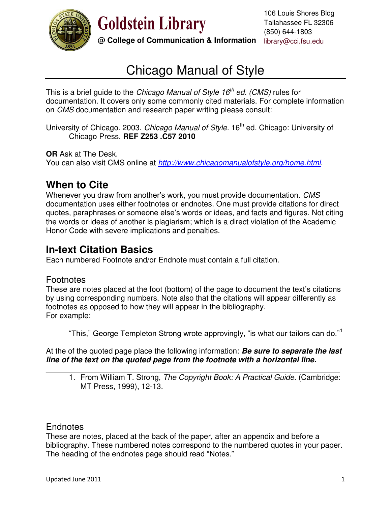

**Goldstein Library** 

**@ College of Communication & Information** library@cci.fsu.edu 106 Louis Shores Bldg Tallahassee FL 32306 (850) 644-1803

# Chicago Manual of Style

This is a brief guide to the *Chicago Manual of Style 16th ed. (CMS)* rules for documentation. It covers only some commonly cited materials. For complete information on *CMS* documentation and research paper writing please consult:

University of Chicago. 2003. *Chicago Manual of Style*. 16<sup>th</sup> ed. Chicago: University of Chicago Press. **REF Z253 .C57 2010**

**OR** Ask at The Desk.

You can also visit CMS online at *<http://www.chicagomanualofstyle.org/home.html>*.

## **When to Cite**

Whenever you draw from another's work, you must provide documentation. *CMS*  documentation uses either footnotes or endnotes. One must provide citations for direct quotes, paraphrases or someone else's words or ideas, and facts and figures. Not citing the words or ideas of another is plagiarism; which is a direct violation of the Academic Honor Code with severe implications and penalties.

## **In-text Citation Basics**

Each numbered Footnote and/or Endnote must contain a full citation.

## **Footnotes**

These are notes placed at the foot (bottom) of the page to document the text's citations by using corresponding numbers. Note also that the citations will appear differently as footnotes as opposed to how they will appear in the bibliography. For example:

"This," George Templeton Strong wrote approvingly, "is what our tailors can do."<sup>1</sup>

At the of the quoted page place the following information: *Be sure to separate the last line of the text on the quoted page from the footnote with a horizontal line.*

\_\_\_\_\_\_\_\_\_\_\_\_\_\_\_\_\_\_\_\_\_\_\_\_\_\_\_\_\_\_\_\_\_\_\_\_\_\_\_\_\_\_\_\_\_\_\_\_\_\_\_\_\_\_\_\_\_\_\_\_\_\_\_\_\_\_\_\_\_ 1. From William T. Strong, *The Copyright Book: A Practical Guide*. (Cambridge: MT Press, 1999), 12-13.

## **Endnotes**

These are notes, placed at the back of the paper, after an appendix and before a bibliography. These numbered notes correspond to the numbered quotes in your paper. The heading of the endnotes page should read "Notes."